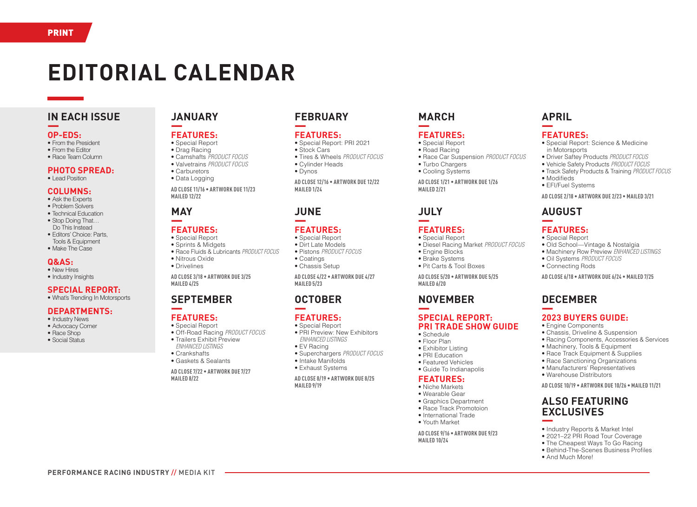# **EDITORIAL CALENDAR**

## **IN EACH ISSUE** —

#### **OP-EDS:**

- From the President
- From the Editor
- Race Team Column

#### **PHOTO SPREAD:**

• Lead Position

#### **COLUMNS:**

- Ask the Experts
- Problem Solvers
- Technical Education
- Stop Doing That… Do This Instead
- Editors' Choice: Parts, Tools & Equipment
- Make The Case

#### **Q&AS:**

- New Hires
- Industry Insights

#### **SPECIAL REPORT:** • What's Trending In Motorsports

- **DEPARTMENTS:**
- Industry News
- Advocacy Corner
- Race Shop
- Social Status

# **JANUARY**

#### — **FEATURES:**

- Special Report
- Drag Racing
- Camshafts *PRODUCT FOCUS*
- Valvetrains *PRODUCT FOCUS*
- Carburetors
- Data Logging

**AD CLOSE 11/16 • ARTWORK DUE 11/23 MAILED 12/22**

# **MAY**

#### — **FEATURES:**

- Special Report
- Sprints & Midgets
- Race Fluids & Lubricants *PRODUCT FOCUS*
- Nitrous Oxide • Drivelines
- **AD CLOSE 3/18 ARTWORK DUE 3/25 MAILED 4/25**

# **SEPTEMBER**

#### — **FEATURES:**

- Special Report • Off-Road Racing *PRODUCT FOCUS*
- Trailers Exhibit Preview
- *ENHANCED LISTINGS*
- Crankshafts

**PERFORMANCE RACING INDUSTRY** // MEDIA KIT

• Gaskets & Sealants

**AD CLOSE 7/22 • ARTWORK DUE 7/27 MAILED 8/22**

## **FEBRUARY** —

### **FEATURES:**

- Special Report: PRI 2021
- Stock Cars
- Tires & Wheels *PRODUCT FOCUS* • Cylinder Heads
- Dynos

**AD CLOSE 12/16 • ARTWORK DUE 12/22 MAILED 1/24**

# **JUNE**

#### — **FEATURES:**

- Special Report • Dirt Late Models
- Pistons *PRODUCT FOCUS*
- Coatings
- Chassis Setup

**AD CLOSE 4/22 • ARTWORK DUE 4/27 MAILED 5/23**

## **OCTOBER** —

### **FEATURES:**

- Special Report • PRI Preview: New Exhibitors
- *ENHANCED LISTINGS*
- EV Racing
- Superchargers *PRODUCT FOCUS*
- Intake Manifolds
- Exhaust Systems

**AD CLOSE 8/19 • ARTWORK DUE 8/25 MAILED 9/19**

## **MARCH**

#### — **FEATURES:**

- Special Report • Road Racing
- Race Car Suspension *PRODUCT FOCUS*
- Turbo Chargers

**APRIL** —

**FEATURES:**

in Motorsports

• Modifieds • EFI/Fuel Systems

**AUGUST**

**FEATURES:** • Special Report

**DECEMBER**

—

—

—

• Special Report: Science & Medicine

• Driver Saftey Products *PRODUCT FOCUS* • Vehicle Safety Products *PRODUCT FOCUS* • Track Safety Products & Training *PRODUCT FOCUS*

**AD CLOSE 2/18 • ARTWORK DUE 2/23 • MAILED 3/21**

• Old School—Vintage & Nostalgia • Machinery Row Preview *ENHANCED LISTINGS*

**AD CLOSE 6/18 • ARTWORK DUE 6/24 • MAILED 7/25**

• Oil Systems *PRODUCT FOCUS* • Connecting Rods

**2023 BUYERS GUIDE:** • Engine Components

• Chassis, Driveline & Suspension • Racing Components, Accessories & Services

• Machinery, Tools & Equipment • Race Track Equipment & Supplies • Race Sanctioning Organizations • Manufacturers' Representatives • Warehouse Distributors

**ALSO FEATURING EXCLUSIVES** 

• Industry Reports & Market Intel • 2021–22 PRI Road Tour Coverage • The Cheapest Ways To Go Racing • Behind-The-Scenes Business Profiles

• And Much More!

**AD CLOSE 10/19 • ARTWORK DUE 10/26 • MAILED 11/21**

• Cooling Systems

**AD CLOSE 1/21 • ARTWORK DUE 1/26 MAILED 2/21**

# **JULY**

#### — **FEATURES:**

- Special Report • Diesel Racing Market *PRODUCT FOCUS*
- Engine Blocks
- Brake Systems
- Pit Carts & Tool Boxes

**AD CLOSE 5/20 • ARTWORK DUE 5/25 MAILED 6/20**

### **NOVEMBER** —

#### **SPECIAL REPORT: PRI TRADE SHOW GUIDE**

- Schedule • Floor Plan
- Exhibitor Listing
- PRI Education
- Featured Vehicles
- Guide To Indianapolis

#### **FEATURES:**

- Niche Markets
- Wearable Gear
- Graphics Department

**AD CLOSE 9/16 • ARTWORK DUE 9/23**

- Race Track Promotoion • International Trade
- Youth Market
- 

**MAILED 10/24**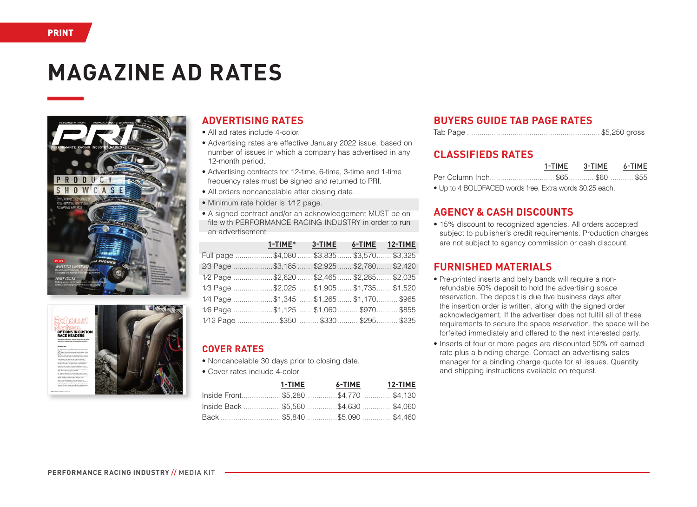# **MAGAZINE AD RATES**





# **ADVERTISING RATES**

- All ad rates include 4-color.
- Advertising rates are effective January 2022 issue, based on number of issues in which a company has advertised in any 12-month period.
- Advertising contracts for 12-time, 6-time, 3-time and 1-time frequency rates must be signed and returned to PRI.
- All orders noncancelable after closing date.
- Minimum rate holder is 1/12 page.
- A signed contract and/or an acknowledgement MUST be on file with PERFORMANCE RACING INDUSTRY in order to run an advertisement.

|                                              | 1-TIME* 3-TIME 6-TIME 12-TIME |  |
|----------------------------------------------|-------------------------------|--|
| Full page \$4,080  \$3,835  \$3,570  \$3,325 |                               |  |
| 2/3 Page \$3,185  \$2,925  \$2,780  \$2,420  |                               |  |
| 1/2 Page \$2,620  \$2,465  \$2,285  \$2,035  |                               |  |
| 1/3 Page \$2,025  \$1,905 \$1,735 \$1,520    |                               |  |
| 1/4 Page \$1,345  \$1,265 \$1,170 \$965      |                               |  |
| 1/6 Page \$1,125 \$1,060\$970\$855           |                               |  |
| 1/12 Page \$350  \$330 \$295 \$235           |                               |  |

# **COVER RATES**

- Noncancelable 30 days prior to closing date.
- Cover rates include 4-color

|                                     | 1-TIME | 6-TIME 12-TIME |  |
|-------------------------------------|--------|----------------|--|
| lnside Front\$5,280\$4,770 \$4,130  |        |                |  |
| lnside Back \$5,560 \$4,630 \$4,060 |        |                |  |
| Back \$5,840 \$5,090 \$4,460        |        |                |  |

# **BUYERS GUIDE TAB PAGE RATES**

## **CLASSIFIEDS RATES**

|  | 1-TIME 3-TIME 6-TIME |  |
|--|----------------------|--|
|  |                      |  |

• Up to 4 BOLDFACED words free. Extra words \$0.25 each.

# **AGENCY & CASH DISCOUNTS**

• 15% discount to recognized agencies. All orders accepted subject to publisher's credit requirements. Production charges are not subject to agency commission or cash discount.

# **FURNISHED MATERIALS**

- Pre-printed inserts and belly bands will require a nonrefundable 50% deposit to hold the advertising space reservation. The deposit is due five business days after the insertion order is written, along with the signed order acknowledgement. If the advertiser does not fulfill all of these requirements to secure the space reservation, the space will be forfeited immediately and offered to the next interested party.
- Inserts of four or more pages are discounted 50% off earned rate plus a binding charge. Contact an advertising sales manager for a binding charge quote for all issues. Quantity and shipping instructions available on request.